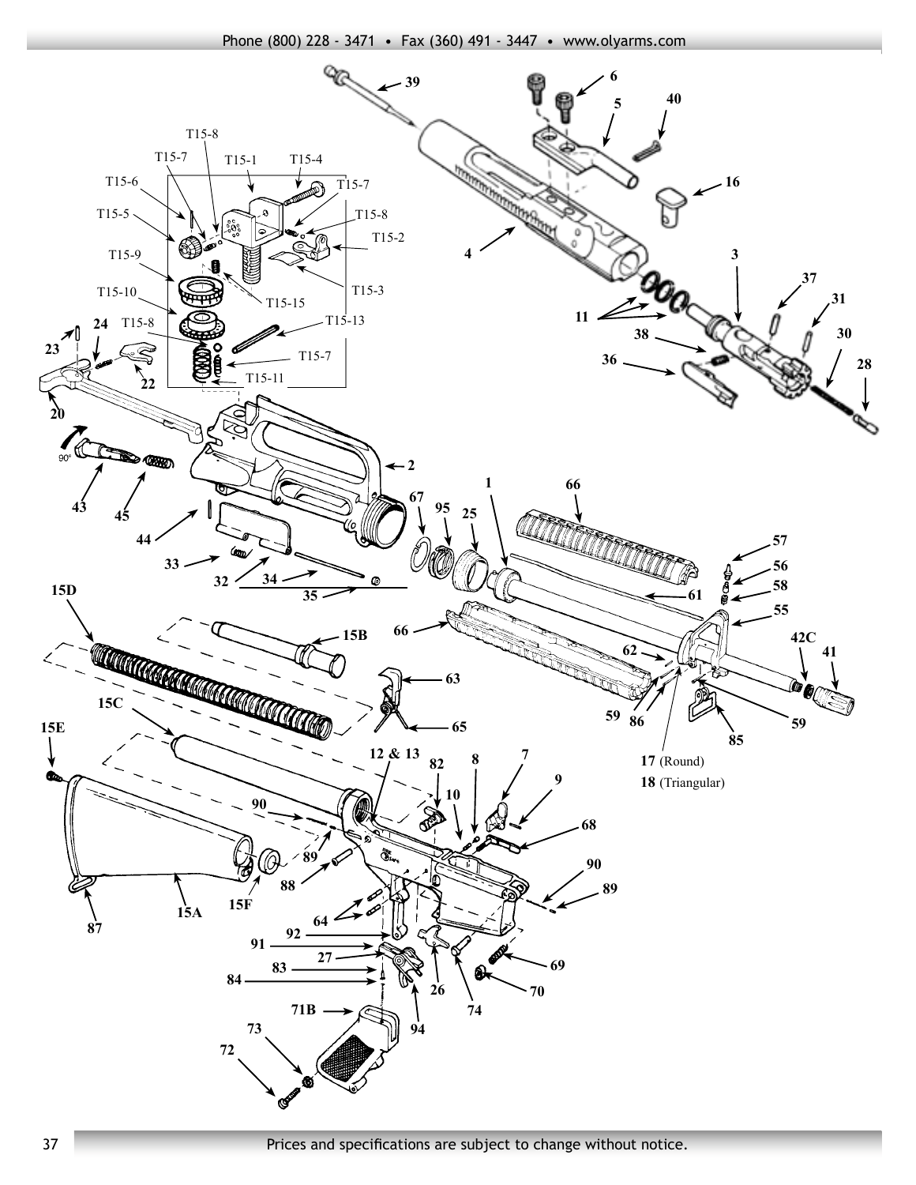